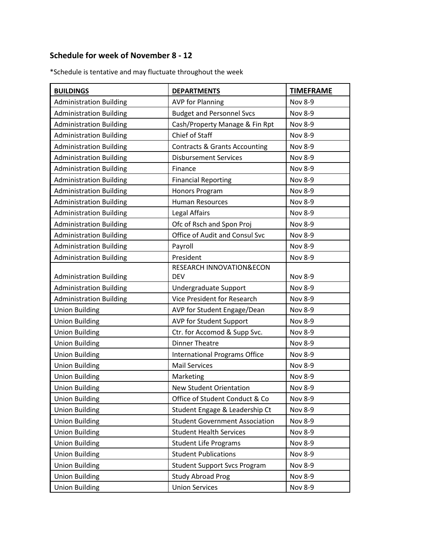## **Schedule for week of November 8 - 12**

\*Schedule is tentative and may fluctuate throughout the week

| <b>BUILDINGS</b>               | <b>DEPARTMENTS</b>                       | <b>TIMEFRAME</b> |
|--------------------------------|------------------------------------------|------------------|
| <b>Administration Building</b> | <b>AVP for Planning</b>                  | <b>Nov 8-9</b>   |
| <b>Administration Building</b> | <b>Budget and Personnel Svcs</b>         | <b>Nov 8-9</b>   |
| <b>Administration Building</b> | Cash/Property Manage & Fin Rpt           | <b>Nov 8-9</b>   |
| <b>Administration Building</b> | Chief of Staff                           | <b>Nov 8-9</b>   |
| <b>Administration Building</b> | <b>Contracts &amp; Grants Accounting</b> | <b>Nov 8-9</b>   |
| <b>Administration Building</b> | <b>Disbursement Services</b>             | <b>Nov 8-9</b>   |
| <b>Administration Building</b> | Finance                                  | <b>Nov 8-9</b>   |
| <b>Administration Building</b> | <b>Financial Reporting</b>               | <b>Nov 8-9</b>   |
| <b>Administration Building</b> | Honors Program                           | <b>Nov 8-9</b>   |
| <b>Administration Building</b> | <b>Human Resources</b>                   | <b>Nov 8-9</b>   |
| <b>Administration Building</b> | Legal Affairs                            | <b>Nov 8-9</b>   |
| <b>Administration Building</b> | Ofc of Rsch and Spon Proj                | <b>Nov 8-9</b>   |
| <b>Administration Building</b> | Office of Audit and Consul Svc           | <b>Nov 8-9</b>   |
| <b>Administration Building</b> | Payroll                                  | <b>Nov 8-9</b>   |
| <b>Administration Building</b> | President                                | <b>Nov 8-9</b>   |
|                                | RESEARCH INNOVATION&ECON                 |                  |
| <b>Administration Building</b> | <b>DEV</b>                               | <b>Nov 8-9</b>   |
| <b>Administration Building</b> | Undergraduate Support                    | <b>Nov 8-9</b>   |
| <b>Administration Building</b> | Vice President for Research              | <b>Nov 8-9</b>   |
| <b>Union Building</b>          | AVP for Student Engage/Dean              | <b>Nov 8-9</b>   |
| <b>Union Building</b>          | AVP for Student Support                  | <b>Nov 8-9</b>   |
| <b>Union Building</b>          | Ctr. for Accomod & Supp Svc.             | <b>Nov 8-9</b>   |
| <b>Union Building</b>          | <b>Dinner Theatre</b>                    | <b>Nov 8-9</b>   |
| <b>Union Building</b>          | <b>International Programs Office</b>     | <b>Nov 8-9</b>   |
| <b>Union Building</b>          | <b>Mail Services</b>                     | <b>Nov 8-9</b>   |
| <b>Union Building</b>          | Marketing                                | <b>Nov 8-9</b>   |
| <b>Union Building</b>          | <b>New Student Orientation</b>           | <b>Nov 8-9</b>   |
| <b>Union Building</b>          | Office of Student Conduct & Co           | <b>Nov 8-9</b>   |
| <b>Union Building</b>          | Student Engage & Leadership Ct           | <b>Nov 8-9</b>   |
| <b>Union Building</b>          | <b>Student Government Association</b>    | Nov 8-9          |
| <b>Union Building</b>          | <b>Student Health Services</b>           | <b>Nov 8-9</b>   |
| <b>Union Building</b>          | <b>Student Life Programs</b>             | <b>Nov 8-9</b>   |
| <b>Union Building</b>          | <b>Student Publications</b>              | <b>Nov 8-9</b>   |
| <b>Union Building</b>          | <b>Student Support Svcs Program</b>      | <b>Nov 8-9</b>   |
| <b>Union Building</b>          | <b>Study Abroad Prog</b>                 | <b>Nov 8-9</b>   |
| <b>Union Building</b>          | <b>Union Services</b>                    | Nov 8-9          |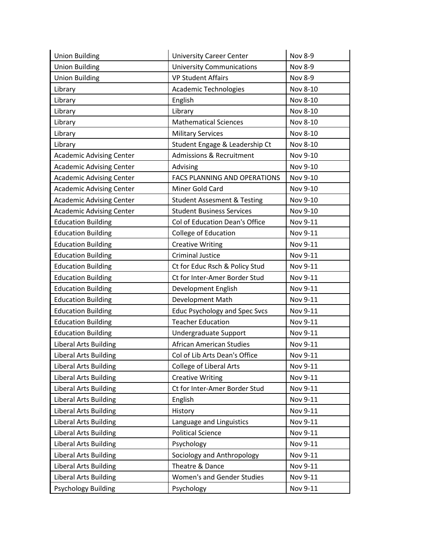| <b>Union Building</b>           | <b>University Career Center</b>        | <b>Nov 8-9</b> |
|---------------------------------|----------------------------------------|----------------|
| <b>Union Building</b>           | <b>University Communications</b>       | <b>Nov 8-9</b> |
| <b>Union Building</b>           | <b>VP Student Affairs</b>              | <b>Nov 8-9</b> |
| Library                         | Academic Technologies                  | Nov 8-10       |
| Library                         | English                                | Nov 8-10       |
| Library                         | Library                                | Nov 8-10       |
| Library                         | <b>Mathematical Sciences</b>           | Nov 8-10       |
| Library                         | <b>Military Services</b>               | Nov 8-10       |
| Library                         | Student Engage & Leadership Ct         | Nov 8-10       |
| <b>Academic Advising Center</b> | <b>Admissions &amp; Recruitment</b>    | Nov 9-10       |
| <b>Academic Advising Center</b> | Advising                               | Nov 9-10       |
| <b>Academic Advising Center</b> | FACS PLANNING AND OPERATIONS           | Nov 9-10       |
| <b>Academic Advising Center</b> | Miner Gold Card                        | Nov 9-10       |
| <b>Academic Advising Center</b> | <b>Student Assesment &amp; Testing</b> | Nov 9-10       |
| <b>Academic Advising Center</b> | <b>Student Business Services</b>       | Nov 9-10       |
| <b>Education Building</b>       | Col of Education Dean's Office         | Nov 9-11       |
| <b>Education Building</b>       | College of Education                   | Nov 9-11       |
| <b>Education Building</b>       | <b>Creative Writing</b>                | Nov 9-11       |
| <b>Education Building</b>       | <b>Criminal Justice</b>                | Nov 9-11       |
| <b>Education Building</b>       | Ct for Educ Rsch & Policy Stud         | Nov 9-11       |
| <b>Education Building</b>       | Ct for Inter-Amer Border Stud          | Nov 9-11       |
| <b>Education Building</b>       | Development English                    | Nov 9-11       |
| <b>Education Building</b>       | Development Math                       | Nov 9-11       |
| <b>Education Building</b>       | <b>Educ Psychology and Spec Svcs</b>   | Nov 9-11       |
| <b>Education Building</b>       | <b>Teacher Education</b>               | Nov 9-11       |
| <b>Education Building</b>       | Undergraduate Support                  | Nov 9-11       |
| <b>Liberal Arts Building</b>    | <b>African American Studies</b>        | Nov 9-11       |
| <b>Liberal Arts Building</b>    | Col of Lib Arts Dean's Office          | Nov 9-11       |
| <b>Liberal Arts Building</b>    | <b>College of Liberal Arts</b>         | Nov 9-11       |
| <b>Liberal Arts Building</b>    | <b>Creative Writing</b>                | Nov 9-11       |
| <b>Liberal Arts Building</b>    | Ct for Inter-Amer Border Stud          | Nov 9-11       |
| <b>Liberal Arts Building</b>    | English                                | Nov 9-11       |
| <b>Liberal Arts Building</b>    | History                                | Nov 9-11       |
| <b>Liberal Arts Building</b>    | Language and Linguistics               | Nov 9-11       |
| <b>Liberal Arts Building</b>    | <b>Political Science</b>               | Nov 9-11       |
| <b>Liberal Arts Building</b>    | Psychology                             | Nov 9-11       |
| <b>Liberal Arts Building</b>    | Sociology and Anthropology             | Nov 9-11       |
| <b>Liberal Arts Building</b>    | Theatre & Dance                        | Nov 9-11       |
| <b>Liberal Arts Building</b>    | <b>Women's and Gender Studies</b>      | Nov 9-11       |
| <b>Psychology Building</b>      | Psychology                             | Nov 9-11       |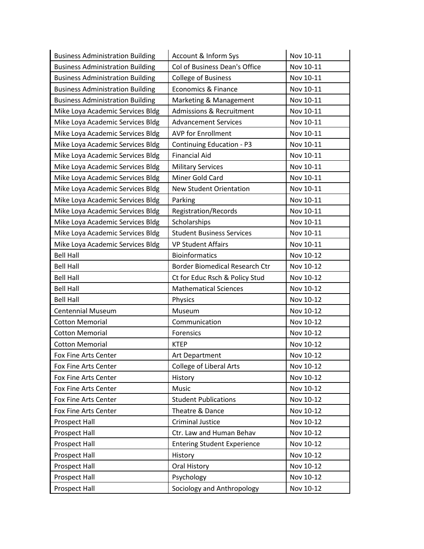| <b>Business Administration Building</b> | Account & Inform Sys                  | Nov 10-11 |
|-----------------------------------------|---------------------------------------|-----------|
| <b>Business Administration Building</b> | Col of Business Dean's Office         | Nov 10-11 |
| <b>Business Administration Building</b> | <b>College of Business</b>            | Nov 10-11 |
| <b>Business Administration Building</b> | Economics & Finance                   | Nov 10-11 |
| <b>Business Administration Building</b> | Marketing & Management                | Nov 10-11 |
| Mike Loya Academic Services Bldg        | <b>Admissions &amp; Recruitment</b>   | Nov 10-11 |
| Mike Loya Academic Services Bldg        | <b>Advancement Services</b>           | Nov 10-11 |
| Mike Loya Academic Services Bldg        | <b>AVP for Enrollment</b>             | Nov 10-11 |
| Mike Loya Academic Services Bldg        | <b>Continuing Education - P3</b>      | Nov 10-11 |
| Mike Loya Academic Services Bldg        | <b>Financial Aid</b>                  | Nov 10-11 |
| Mike Loya Academic Services Bldg        | <b>Military Services</b>              | Nov 10-11 |
| Mike Loya Academic Services Bldg        | Miner Gold Card                       | Nov 10-11 |
| Mike Loya Academic Services Bldg        | New Student Orientation               | Nov 10-11 |
| Mike Loya Academic Services Bldg        | Parking                               | Nov 10-11 |
| Mike Loya Academic Services Bldg        | Registration/Records                  | Nov 10-11 |
| Mike Loya Academic Services Bldg        | Scholarships                          | Nov 10-11 |
| Mike Loya Academic Services Bldg        | <b>Student Business Services</b>      | Nov 10-11 |
| Mike Loya Academic Services Bldg        | <b>VP Student Affairs</b>             | Nov 10-11 |
| <b>Bell Hall</b>                        | <b>Bioinformatics</b>                 | Nov 10-12 |
| <b>Bell Hall</b>                        | <b>Border Biomedical Research Ctr</b> | Nov 10-12 |
| <b>Bell Hall</b>                        | Ct for Educ Rsch & Policy Stud        | Nov 10-12 |
| <b>Bell Hall</b>                        | <b>Mathematical Sciences</b>          | Nov 10-12 |
| <b>Bell Hall</b>                        | Physics                               | Nov 10-12 |
| <b>Centennial Museum</b>                | Museum                                | Nov 10-12 |
| <b>Cotton Memorial</b>                  | Communication                         | Nov 10-12 |
| <b>Cotton Memorial</b>                  | Forensics                             | Nov 10-12 |
| <b>Cotton Memorial</b>                  | <b>KTEP</b>                           | Nov 10-12 |
| Fox Fine Arts Center                    | Art Department                        | Nov 10-12 |
| Fox Fine Arts Center                    | <b>College of Liberal Arts</b>        | Nov 10-12 |
| Fox Fine Arts Center                    | History                               | Nov 10-12 |
| Fox Fine Arts Center                    | Music                                 | Nov 10-12 |
| Fox Fine Arts Center                    | <b>Student Publications</b>           | Nov 10-12 |
| Fox Fine Arts Center                    | Theatre & Dance                       | Nov 10-12 |
| Prospect Hall                           | <b>Criminal Justice</b>               | Nov 10-12 |
| Prospect Hall                           | Ctr. Law and Human Behav              | Nov 10-12 |
| <b>Prospect Hall</b>                    | <b>Entering Student Experience</b>    | Nov 10-12 |
| Prospect Hall                           | History                               | Nov 10-12 |
| Prospect Hall                           | Oral History                          | Nov 10-12 |
| <b>Prospect Hall</b>                    | Psychology                            | Nov 10-12 |
| Prospect Hall                           | Sociology and Anthropology            | Nov 10-12 |